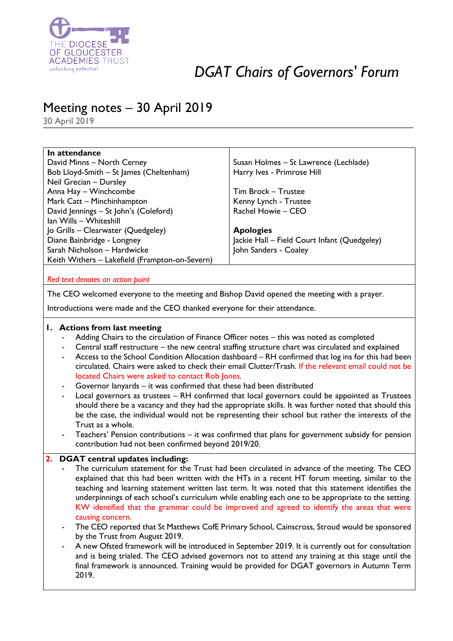

# *DGAT Chairs of Governors' Forum*

# Meeting notes – 30 April 2019

30 April 2019

| In attendance                                  |                                              |
|------------------------------------------------|----------------------------------------------|
| David Minns - North Cerney                     | Susan Holmes - St Lawrence (Lechlade)        |
| Bob Lloyd-Smith - St James (Cheltenham)        | Harry Ives - Primrose Hill                   |
| Neil Grecian - Dursley                         |                                              |
| Anna Hay - Winchcombe                          | Tim Brock - Trustee                          |
| Mark Catt - Minchinhampton                     | Kenny Lynch - Trustee                        |
| David Jennings - St John's (Coleford)          | Rachel Howie - CEO                           |
| Ian Wills - Whiteshill                         |                                              |
| Jo Grills – Clearwater (Quedgeley)             | <b>Apologies</b>                             |
| Diane Bainbridge - Longney                     | Jackie Hall – Field Court Infant (Quedgeley) |
| Sarah Nicholson - Hardwicke                    | John Sanders - Coaley                        |
| Keith Withers - Lakefield (Frampton-on-Severn) |                                              |
|                                                |                                              |

*Red text denotes an action point*

The CEO welcomed everyone to the meeting and Bishop David opened the meeting with a prayer.

Introductions were made and the CEO thanked everyone for their attendance.

## **1. Actions from last meeting**

- Adding Chairs to the circulation of Finance Officer notes this was noted as completed
- Central staff restructure the new central staffing structure chart was circulated and explained
- Access to the School Condition Allocation dashboard RH confirmed that log ins for this had been circulated. Chairs were asked to check their email Clutter/Trash. If the relevant email could not be located Chairs were asked to contact Rob Jones.
- Governor lanyards it was confirmed that these had been distributed
- Local governors as trustees RH confirmed that local governors could be appointed as Trustees should there be a vacancy and they had the appropriate skills. It was further noted that should this be the case, the individual would not be representing their school but rather the interests of the Trust as a whole.
- Teachers' Pension contributions it was confirmed that plans for government subsidy for pension contribution had not been confirmed beyond 2019/20.

## **2. DGAT central updates including:**

- The curriculum statement for the Trust had been circulated in advance of the meeting. The CEO explained that this had been written with the HTs in a recent HT forum meeting, similar to the teaching and learning statement written last term. It was noted that this statement identifies the underpinnings of each school's curriculum while enabling each one to be appropriate to the setting. KW identified that the grammar could be improved and agreed to identify the areas that were causing concern.
- The CEO reported that St Matthews CofE Primary School, Cainscross, Stroud would be sponsored by the Trust from August 2019.
- A new Ofsted framework will be introduced in September 2019. It is currently out for consultation and is being trialed. The CEO advised governors not to attend any training at this stage until the final framework is announced. Training would be provided for DGAT governors in Autumn Term 2019.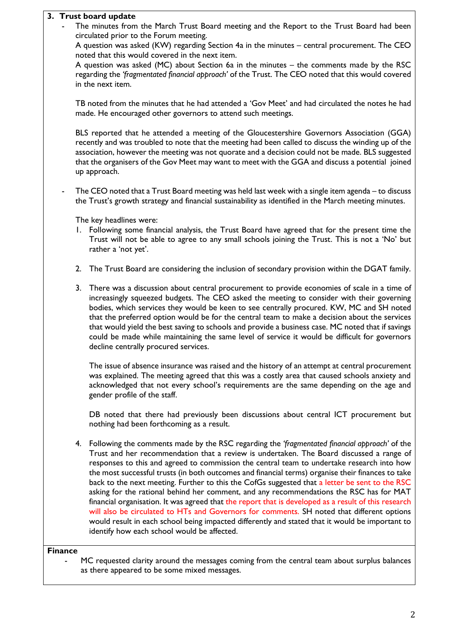#### **3. Trust board update**

The minutes from the March Trust Board meeting and the Report to the Trust Board had been circulated prior to the Forum meeting.

A question was asked (KW) regarding Section 4a in the minutes – central procurement. The CEO noted that this would covered in the next item.

A question was asked (MC) about Section 6a in the minutes – the comments made by the RSC regarding the *'fragmentated financial approach'* of the Trust. The CEO noted that this would covered in the next item.

TB noted from the minutes that he had attended a 'Gov Meet' and had circulated the notes he had made. He encouraged other governors to attend such meetings.

BLS reported that he attended a meeting of the Gloucestershire Governors Association (GGA) recently and was troubled to note that the meeting had been called to discuss the winding up of the association, however the meeting was not quorate and a decision could not be made. BLS suggested that the organisers of the Gov Meet may want to meet with the GGA and discuss a potential joined up approach.

The CEO noted that a Trust Board meeting was held last week with a single item agenda – to discuss the Trust's growth strategy and financial sustainability as identified in the March meeting minutes.

The key headlines were:

- 1. Following some financial analysis, the Trust Board have agreed that for the present time the Trust will not be able to agree to any small schools joining the Trust. This is not a 'No' but rather a 'not yet'.
- 2. The Trust Board are considering the inclusion of secondary provision within the DGAT family.
- 3. There was a discussion about central procurement to provide economies of scale in a time of increasingly squeezed budgets. The CEO asked the meeting to consider with their governing bodies, which services they would be keen to see centrally procured. KW, MC and SH noted that the preferred option would be for the central team to make a decision about the services that would yield the best saving to schools and provide a business case. MC noted that if savings could be made while maintaining the same level of service it would be difficult for governors decline centrally procured services.

The issue of absence insurance was raised and the history of an attempt at central procurement was explained. The meeting agreed that this was a costly area that caused schools anxiety and acknowledged that not every school's requirements are the same depending on the age and gender profile of the staff.

DB noted that there had previously been discussions about central ICT procurement but nothing had been forthcoming as a result.

4. Following the comments made by the RSC regarding the *'fragmentated financial approach'* of the Trust and her recommendation that a review is undertaken. The Board discussed a range of responses to this and agreed to commission the central team to undertake research into how the most successful trusts (in both outcomes and financial terms) organise their finances to take back to the next meeting. Further to this the CofGs suggested that a letter be sent to the RSC asking for the rational behind her comment, and any recommendations the RSC has for MAT financial organisation. It was agreed that the report that is developed as a result of this research will also be circulated to HTs and Governors for comments. SH noted that different options would result in each school being impacted differently and stated that it would be important to identify how each school would be affected.

#### **Finance**

MC requested clarity around the messages coming from the central team about surplus balances as there appeared to be some mixed messages.